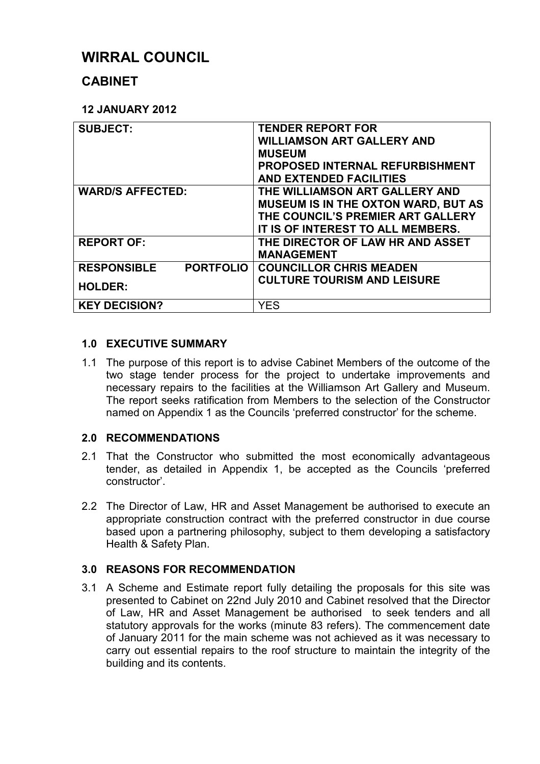# **WIRRAL COUNCIL**

# **CABINET**

# **12 JANUARY 2012**

| <b>SUBJECT:</b>                        | <b>TENDER REPORT FOR</b><br><b>WILLIAMSON ART GALLERY AND</b><br><b>MUSEUM</b><br>PROPOSED INTERNAL REFURBISHMENT<br><b>AND EXTENDED FACILITIES</b>    |
|----------------------------------------|--------------------------------------------------------------------------------------------------------------------------------------------------------|
| <b>WARD/S AFFECTED:</b>                | THE WILLIAMSON ART GALLERY AND<br><b>MUSEUM IS IN THE OXTON WARD, BUT AS</b><br>THE COUNCIL'S PREMIER ART GALLERY<br>IT IS OF INTEREST TO ALL MEMBERS. |
| <b>REPORT OF:</b>                      | THE DIRECTOR OF LAW HR AND ASSET<br><b>MANAGEMENT</b>                                                                                                  |
| <b>RESPONSIBLE</b><br><b>PORTFOLIO</b> | <b>COUNCILLOR CHRIS MEADEN</b>                                                                                                                         |
| <b>HOLDER:</b>                         | <b>CULTURE TOURISM AND LEISURE</b>                                                                                                                     |
| <b>KEY DECISION?</b>                   | YES                                                                                                                                                    |

# **1.0 EXECUTIVE SUMMARY**

1.1 The purpose of this report is to advise Cabinet Members of the outcome of the two stage tender process for the project to undertake improvements and necessary repairs to the facilities at the Williamson Art Gallery and Museum. The report seeks ratification from Members to the selection of the Constructor named on Appendix 1 as the Councils 'preferred constructor' for the scheme.

# **2.0 RECOMMENDATIONS**

- 2.1 That the Constructor who submitted the most economically advantageous tender, as detailed in Appendix 1, be accepted as the Councils 'preferred constructor'.
- 2.2 The Director of Law, HR and Asset Management be authorised to execute an appropriate construction contract with the preferred constructor in due course based upon a partnering philosophy, subject to them developing a satisfactory Health & Safety Plan.

# **3.0 REASONS FOR RECOMMENDATION**

3.1 A Scheme and Estimate report fully detailing the proposals for this site was presented to Cabinet on 22nd July 2010 and Cabinet resolved that the Director of Law, HR and Asset Management be authorised to seek tenders and all statutory approvals for the works (minute 83 refers). The commencement date of January 2011 for the main scheme was not achieved as it was necessary to carry out essential repairs to the roof structure to maintain the integrity of the building and its contents.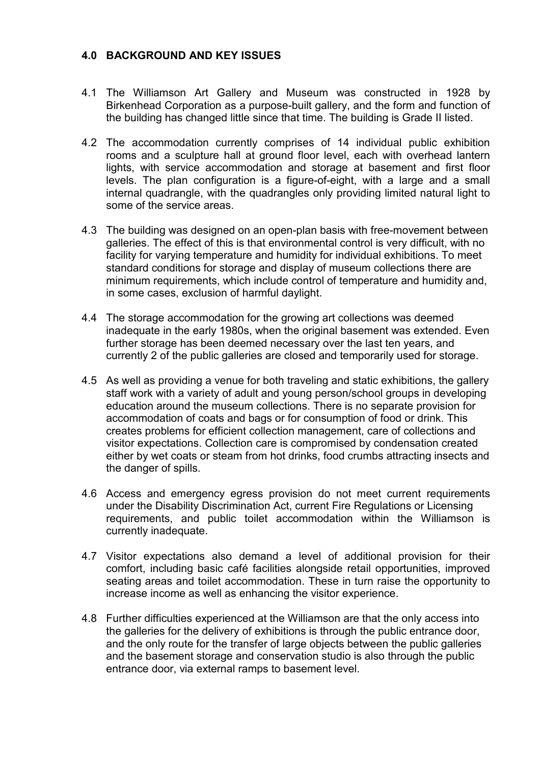#### **4.0 BACKGROUND AND KEY ISSUES**

- 4.1 The Williamson Art Gallery and Museum was constructed in 1928 by Birkenhead Corporation as a purpose-built gallery, and the form and function of the building has changed little since that time. The building is Grade II listed.
- 4.2 The accommodation currently comprises of 14 individual public exhibition rooms and a sculpture hall at ground floor level, each with overhead lantern lights, with service accommodation and storage at basement and first floor levels. The plan configuration is a figure-of-eight, with a large and a small internal quadrangle, with the quadrangles only providing limited natural light to some of the service areas.
- 4.3 The building was designed on an open-plan basis with free-movement between galleries. The effect of this is that environmental control is very difficult, with no facility for varying temperature and humidity for individual exhibitions. To meet standard conditions for storage and display of museum collections there are minimum requirements, which include control of temperature and humidity and, in some cases, exclusion of harmful daylight.
- 4.4 The storage accommodation for the growing art collections was deemed inadequate in the early 1980s, when the original basement was extended. Even further storage has been deemed necessary over the last ten years, and currently 2 of the public galleries are closed and temporarily used for storage.
- 4.5 As well as providing a venue for both traveling and static exhibitions, the gallery staff work with a variety of adult and young person/school groups in developing education around the museum collections. There is no separate provision for accommodation of coats and bags or for consumption of food or drink. This creates problems for efficient collection management, care of collections and visitor expectations. Collection care is compromised by condensation created either by wet coats or steam from hot drinks, food crumbs attracting insects and the danger of spills.
- 4.6 Access and emergency egress provision do not meet current requirements under the Disability Discrimination Act, current Fire Regulations or Licensing requirements, and public toilet accommodation within the Williamson is currently inadequate.
- 4.7 Visitor expectations also demand a level of additional provision for their comfort, including basic café facilities alongside retail opportunities, improved seating areas and toilet accommodation. These in turn raise the opportunity to increase income as well as enhancing the visitor experience.
- 4.8 Further difficulties experienced at the Williamson are that the only access into the galleries for the delivery of exhibitions is through the public entrance door, and the only route for the transfer of large objects between the public galleries and the basement storage and conservation studio is also through the public entrance door, via external ramps to basement level.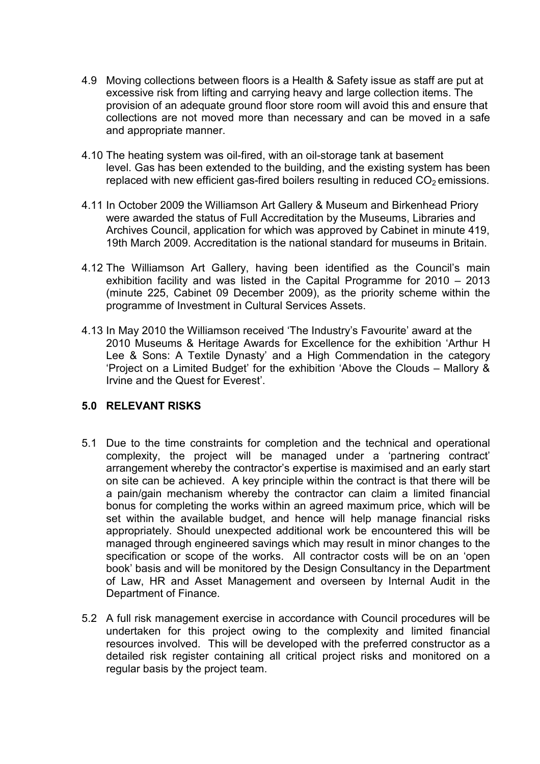- 4.9 Moving collections between floors is a Health & Safety issue as staff are put at excessive risk from lifting and carrying heavy and large collection items. The provision of an adequate ground floor store room will avoid this and ensure that collections are not moved more than necessary and can be moved in a safe and appropriate manner.
- 4.10 The heating system was oil-fired, with an oil-storage tank at basement level. Gas has been extended to the building, and the existing system has been replaced with new efficient gas-fired boilers resulting in reduced  $CO<sub>2</sub>$  emissions.
- 4.11 In October 2009 the Williamson Art Gallery & Museum and Birkenhead Priory were awarded the status of Full Accreditation by the Museums, Libraries and Archives Council, application for which was approved by Cabinet in minute 419, 19th March 2009. Accreditation is the national standard for museums in Britain.
- 4.12 The Williamson Art Gallery, having been identified as the Council's main exhibition facility and was listed in the Capital Programme for 2010 – 2013 (minute 225, Cabinet 09 December 2009), as the priority scheme within the programme of Investment in Cultural Services Assets.
- 4.13 In May 2010 the Williamson received 'The Industry's Favourite' award at the 2010 Museums & Heritage Awards for Excellence for the exhibition 'Arthur H Lee & Sons: A Textile Dynasty' and a High Commendation in the category 'Project on a Limited Budget' for the exhibition 'Above the Clouds – Mallory & Irvine and the Quest for Everest'.

#### **5.0 RELEVANT RISKS**

- 5.1 Due to the time constraints for completion and the technical and operational complexity, the project will be managed under a 'partnering contract' arrangement whereby the contractor's expertise is maximised and an early start on site can be achieved. A key principle within the contract is that there will be a pain/gain mechanism whereby the contractor can claim a limited financial bonus for completing the works within an agreed maximum price, which will be set within the available budget, and hence will help manage financial risks appropriately. Should unexpected additional work be encountered this will be managed through engineered savings which may result in minor changes to the specification or scope of the works. All contractor costs will be on an 'open book' basis and will be monitored by the Design Consultancy in the Department of Law, HR and Asset Management and overseen by Internal Audit in the Department of Finance.
- 5.2 A full risk management exercise in accordance with Council procedures will be undertaken for this project owing to the complexity and limited financial resources involved. This will be developed with the preferred constructor as a detailed risk register containing all critical project risks and monitored on a regular basis by the project team.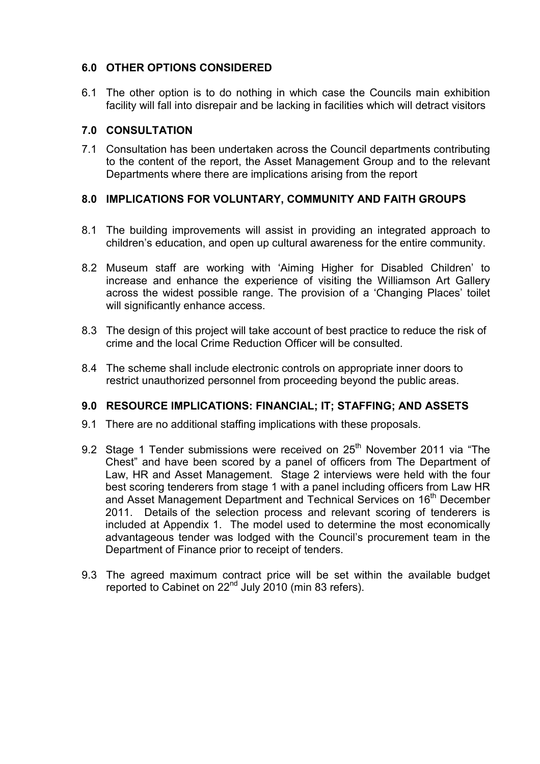# **6.0 OTHER OPTIONS CONSIDERED**

6.1 The other option is to do nothing in which case the Councils main exhibition facility will fall into disrepair and be lacking in facilities which will detract visitors

#### **7.0 CONSULTATION**

7.1 Consultation has been undertaken across the Council departments contributing to the content of the report, the Asset Management Group and to the relevant Departments where there are implications arising from the report

# **8.0 IMPLICATIONS FOR VOLUNTARY, COMMUNITY AND FAITH GROUPS**

- 8.1 The building improvements will assist in providing an integrated approach to children's education, and open up cultural awareness for the entire community.
- 8.2 Museum staff are working with 'Aiming Higher for Disabled Children' to increase and enhance the experience of visiting the Williamson Art Gallery across the widest possible range. The provision of a 'Changing Places' toilet will significantly enhance access.
- 8.3 The design of this project will take account of best practice to reduce the risk of crime and the local Crime Reduction Officer will be consulted.
- 8.4 The scheme shall include electronic controls on appropriate inner doors to restrict unauthorized personnel from proceeding beyond the public areas.

#### **9.0 RESOURCE IMPLICATIONS: FINANCIAL; IT; STAFFING; AND ASSETS**

- 9.1 There are no additional staffing implications with these proposals.
- 9.2 Stage 1 Tender submissions were received on  $25<sup>th</sup>$  November 2011 via "The Chest" and have been scored by a panel of officers from The Department of Law, HR and Asset Management. Stage 2 interviews were held with the four best scoring tenderers from stage 1 with a panel including officers from Law HR and Asset Management Department and Technical Services on 16<sup>th</sup> December 2011. Details of the selection process and relevant scoring of tenderers is included at Appendix 1. The model used to determine the most economically advantageous tender was lodged with the Council's procurement team in the Department of Finance prior to receipt of tenders.
- 9.3 The agreed maximum contract price will be set within the available budget reported to Cabinet on 22<sup>nd</sup> July 2010 (min 83 refers).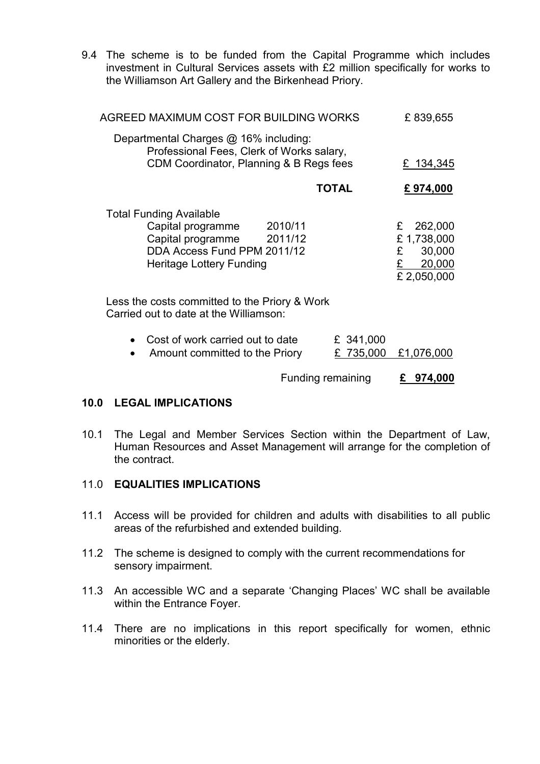9.4 The scheme is to be funded from the Capital Programme which includes investment in Cultural Services assets with £2 million specifically for works to the Williamson Art Gallery and the Birkenhead Priory.

| AGREED MAXIMUM COST FOR BUILDING WORKS                                                                                                                        | £839,655             |                                                                   |
|---------------------------------------------------------------------------------------------------------------------------------------------------------------|----------------------|-------------------------------------------------------------------|
| Departmental Charges @ 16% including:<br>Professional Fees, Clerk of Works salary,<br>CDM Coordinator, Planning & B Regs fees                                 |                      | £ 134,345                                                         |
|                                                                                                                                                               | <b>TOTAL</b>         | £974,000                                                          |
| <b>Total Funding Available</b><br>Capital programme<br>2010/11<br>Capital programme 2011/12<br>DDA Access Fund PPM 2011/12<br><b>Heritage Lottery Funding</b> |                      | 262,000<br>£<br>£1,738,000<br>£<br>30,000<br>20,000<br>£2,050,000 |
| Less the costs committed to the Priory & Work<br>Carried out to date at the Williamson:                                                                       |                      |                                                                   |
| Cost of work carried out to date<br>Amount committed to the Priory                                                                                            | £ 341,000<br>735,000 | £1,076,000                                                        |

Funding remaining **£ 974,000**

#### **10.0 LEGAL IMPLICATIONS**

10.1 The Legal and Member Services Section within the Department of Law, Human Resources and Asset Management will arrange for the completion of the contract.

#### 11.0 **EQUALITIES IMPLICATIONS**

- 11.1 Access will be provided for children and adults with disabilities to all public areas of the refurbished and extended building.
- 11.2 The scheme is designed to comply with the current recommendations for sensory impairment.
- 11.3 An accessible WC and a separate 'Changing Places' WC shall be available within the Entrance Foyer.
- 11.4 There are no implications in this report specifically for women, ethnic minorities or the elderly.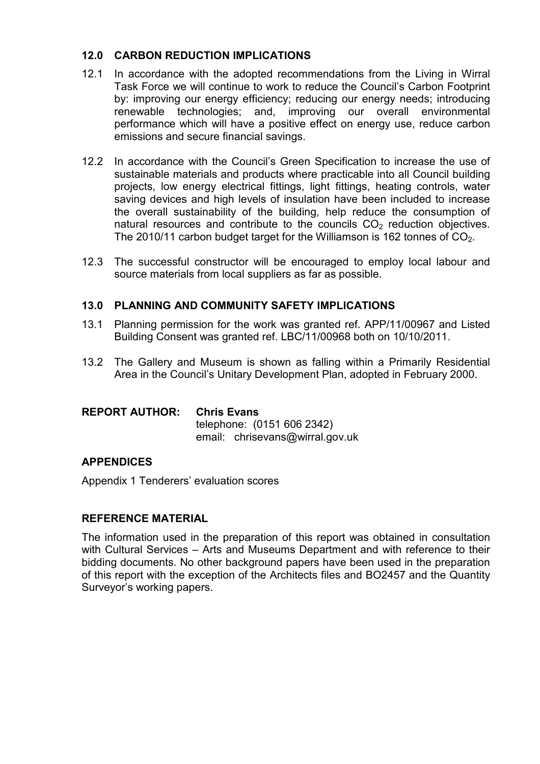#### **12.0 CARBON REDUCTION IMPLICATIONS**

- 12.1 In accordance with the adopted recommendations from the Living in Wirral Task Force we will continue to work to reduce the Council's Carbon Footprint by: improving our energy efficiency; reducing our energy needs; introducing renewable technologies; and, improving our overall environmental performance which will have a positive effect on energy use, reduce carbon emissions and secure financial savings.
- 12.2 In accordance with the Council's Green Specification to increase the use of sustainable materials and products where practicable into all Council building projects, low energy electrical fittings, light fittings, heating controls, water saving devices and high levels of insulation have been included to increase the overall sustainability of the building, help reduce the consumption of natural resources and contribute to the councils  $CO<sub>2</sub>$  reduction objectives. The 2010/11 carbon budget target for the Williamson is 162 tonnes of  $CO<sub>2</sub>$ .
- 12.3 The successful constructor will be encouraged to employ local labour and source materials from local suppliers as far as possible.

#### **13.0 PLANNING AND COMMUNITY SAFETY IMPLICATIONS**

- 13.1 Planning permission for the work was granted ref. APP/11/00967 and Listed Building Consent was granted ref. LBC/11/00968 both on 10/10/2011.
- 13.2 The Gallery and Museum is shown as falling within a Primarily Residential Area in the Council's Unitary Development Plan, adopted in February 2000.

#### **REPORT AUTHOR: Chris Evans**

 telephone: (0151 606 2342) email: chrisevans@wirral.gov.uk

# **APPENDICES**

Appendix 1 Tenderers' evaluation scores

#### **REFERENCE MATERIAL**

The information used in the preparation of this report was obtained in consultation with Cultural Services – Arts and Museums Department and with reference to their bidding documents. No other background papers have been used in the preparation of this report with the exception of the Architects files and BO2457 and the Quantity Surveyor's working papers.